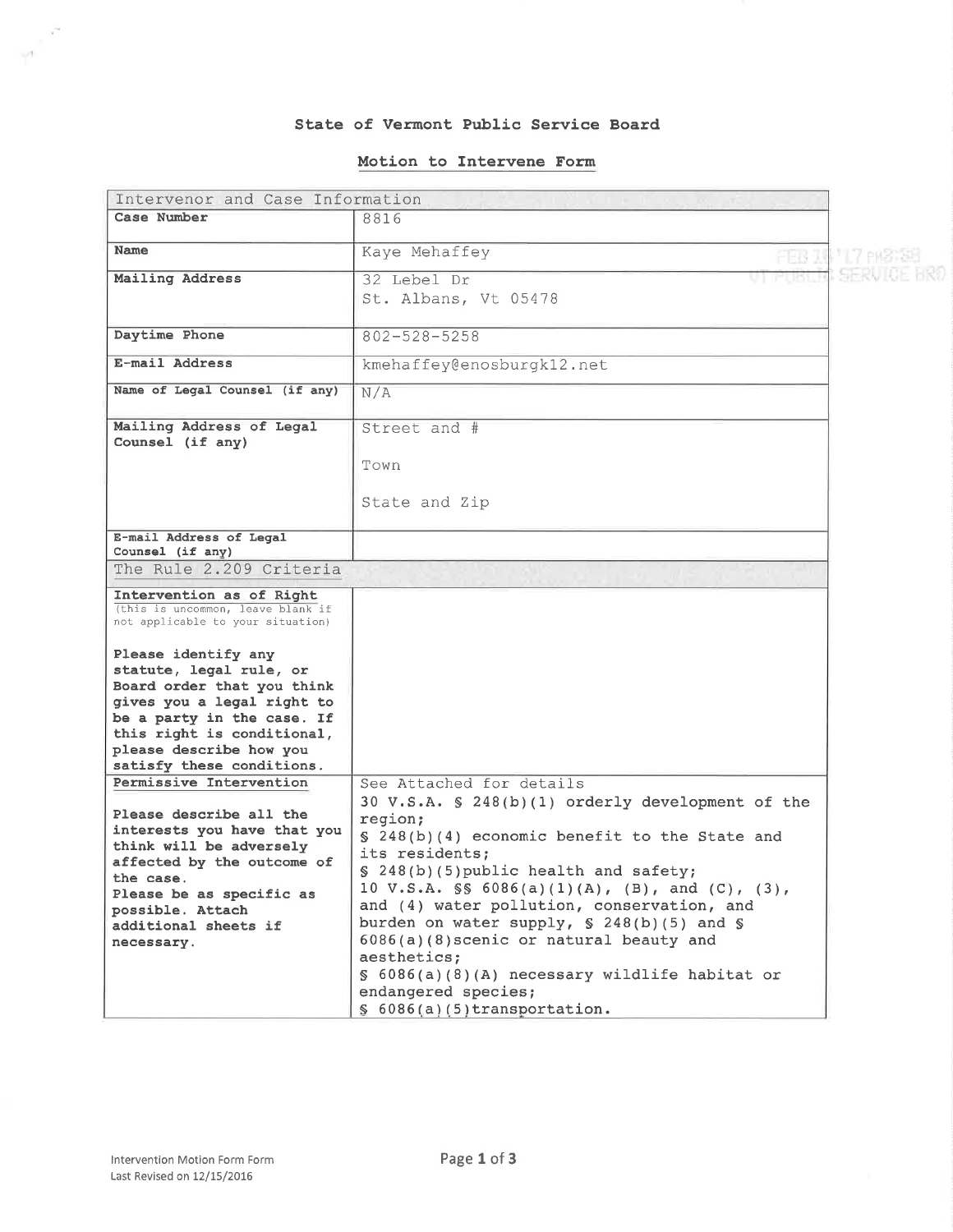### State of Vermont Public Service Board

#### Motion to Intervene Form

| Intervenor and Case Information                                                                                                                                                                                                               |                                                                                                                                                                                                                                                                                                                                                                                                                                                                                                                             |                  |
|-----------------------------------------------------------------------------------------------------------------------------------------------------------------------------------------------------------------------------------------------|-----------------------------------------------------------------------------------------------------------------------------------------------------------------------------------------------------------------------------------------------------------------------------------------------------------------------------------------------------------------------------------------------------------------------------------------------------------------------------------------------------------------------------|------------------|
| Case Number                                                                                                                                                                                                                                   | 8816                                                                                                                                                                                                                                                                                                                                                                                                                                                                                                                        |                  |
| Name                                                                                                                                                                                                                                          | Kaye Mehaffey<br>FEB 19                                                                                                                                                                                                                                                                                                                                                                                                                                                                                                     | <b>MT PH3736</b> |
| Mailing Address                                                                                                                                                                                                                               | 32 Lebel Dr<br>St. Albans, Vt 05478                                                                                                                                                                                                                                                                                                                                                                                                                                                                                         | I SHRWIJE HRI    |
| Daytime Phone                                                                                                                                                                                                                                 | $802 - 528 - 5258$                                                                                                                                                                                                                                                                                                                                                                                                                                                                                                          |                  |
| E-mail Address                                                                                                                                                                                                                                | kmehaffey@enosburgk12.net                                                                                                                                                                                                                                                                                                                                                                                                                                                                                                   |                  |
| Name of Legal Counsel (if any)                                                                                                                                                                                                                | N/A                                                                                                                                                                                                                                                                                                                                                                                                                                                                                                                         |                  |
| Mailing Address of Legal<br>Counsel (if any)                                                                                                                                                                                                  | Street and #<br>Town                                                                                                                                                                                                                                                                                                                                                                                                                                                                                                        |                  |
|                                                                                                                                                                                                                                               | State and Zip                                                                                                                                                                                                                                                                                                                                                                                                                                                                                                               |                  |
| E-mail Address of Legal<br>Counsel (if any)                                                                                                                                                                                                   |                                                                                                                                                                                                                                                                                                                                                                                                                                                                                                                             |                  |
| The Rule 2.209 Criteria                                                                                                                                                                                                                       |                                                                                                                                                                                                                                                                                                                                                                                                                                                                                                                             |                  |
| Intervention as of Right<br>(this is uncommon, leave blank if<br>not applicable to your situation)                                                                                                                                            |                                                                                                                                                                                                                                                                                                                                                                                                                                                                                                                             |                  |
| Please identify any<br>statute, legal rule, or<br>Board order that you think<br>gives you a legal right to<br>be a party in the case. If<br>this right is conditional,<br>please describe how you<br>satisfy these conditions.                |                                                                                                                                                                                                                                                                                                                                                                                                                                                                                                                             |                  |
| Permissive Intervention<br>Please describe all the<br>interests you have that you<br>think will be adversely<br>affected by the outcome of<br>the case.<br>Please be as specific as<br>possible. Attach<br>additional sheets if<br>necessary. | See Attached for details<br>30 V.S.A. § 248(b)(1) orderly development of the<br>region;<br>§ 248(b)(4) economic benefit to the State and<br>its residents;<br>§ 248(b)(5) public health and safety;<br>10 V.S.A. $\$ 6086(a)(1)(A), (B), and (C), (3),<br>and (4) water pollution, conservation, and<br>burden on water supply, $$ 248(b)(5)$ and $$$<br>6086(a)(8) scenic or natural beauty and<br>aesthetics;<br>$\S$ 6086(a)(8)(A) necessary wildlife habitat or<br>endangered species;<br>$$6086(a)(5)$ transportation. |                  |

 $\frac{1}{\sqrt{2}}\int_{0}^{\sqrt{2}}\frac{x^{2}}{x^{2}}$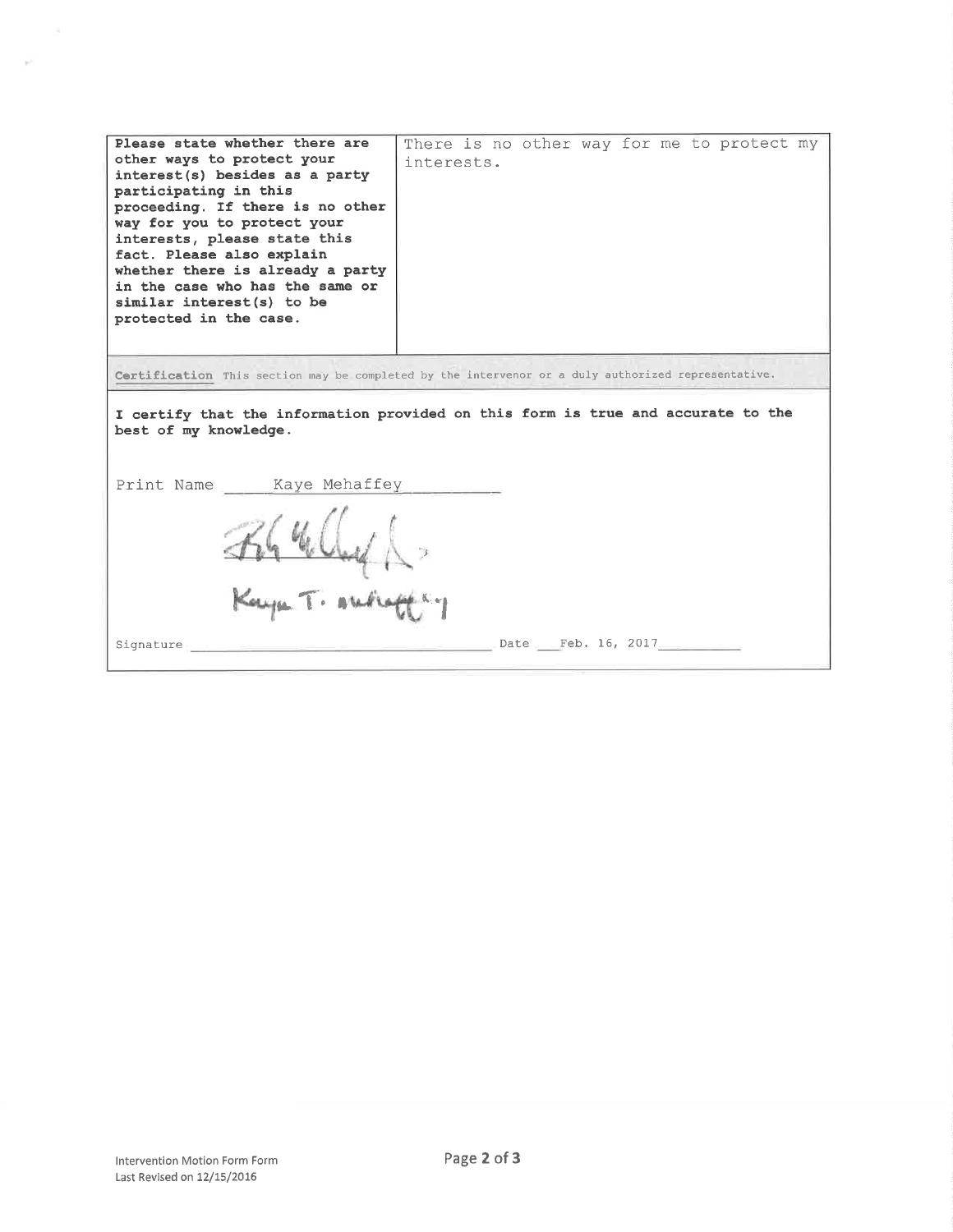| Please state whether there are<br>other ways to protect your<br>interest(s) besides as a party<br>participating in this<br>proceeding. If there is no other<br>way for you to protect your<br>interests, please state this<br>fact. Please also explain<br>whether there is already a party<br>in the case who has the same or<br>similar interest(s) to be<br>protected in the case. | There is no other way for me to protect my<br>interests. |  |  |
|---------------------------------------------------------------------------------------------------------------------------------------------------------------------------------------------------------------------------------------------------------------------------------------------------------------------------------------------------------------------------------------|----------------------------------------------------------|--|--|
| Certification This section may be completed by the intervenor or a duly authorized representative.                                                                                                                                                                                                                                                                                    |                                                          |  |  |
| I certify that the information provided on this form is true and accurate to the<br>best of my knowledge.                                                                                                                                                                                                                                                                             |                                                          |  |  |
| Print Name Kaye Mehaffey                                                                                                                                                                                                                                                                                                                                                              |                                                          |  |  |
|                                                                                                                                                                                                                                                                                                                                                                                       |                                                          |  |  |
| Kaya T. Alekaff Ky                                                                                                                                                                                                                                                                                                                                                                    |                                                          |  |  |
| Signature                                                                                                                                                                                                                                                                                                                                                                             | Date Feb. 16, 2017                                       |  |  |

 $\sim$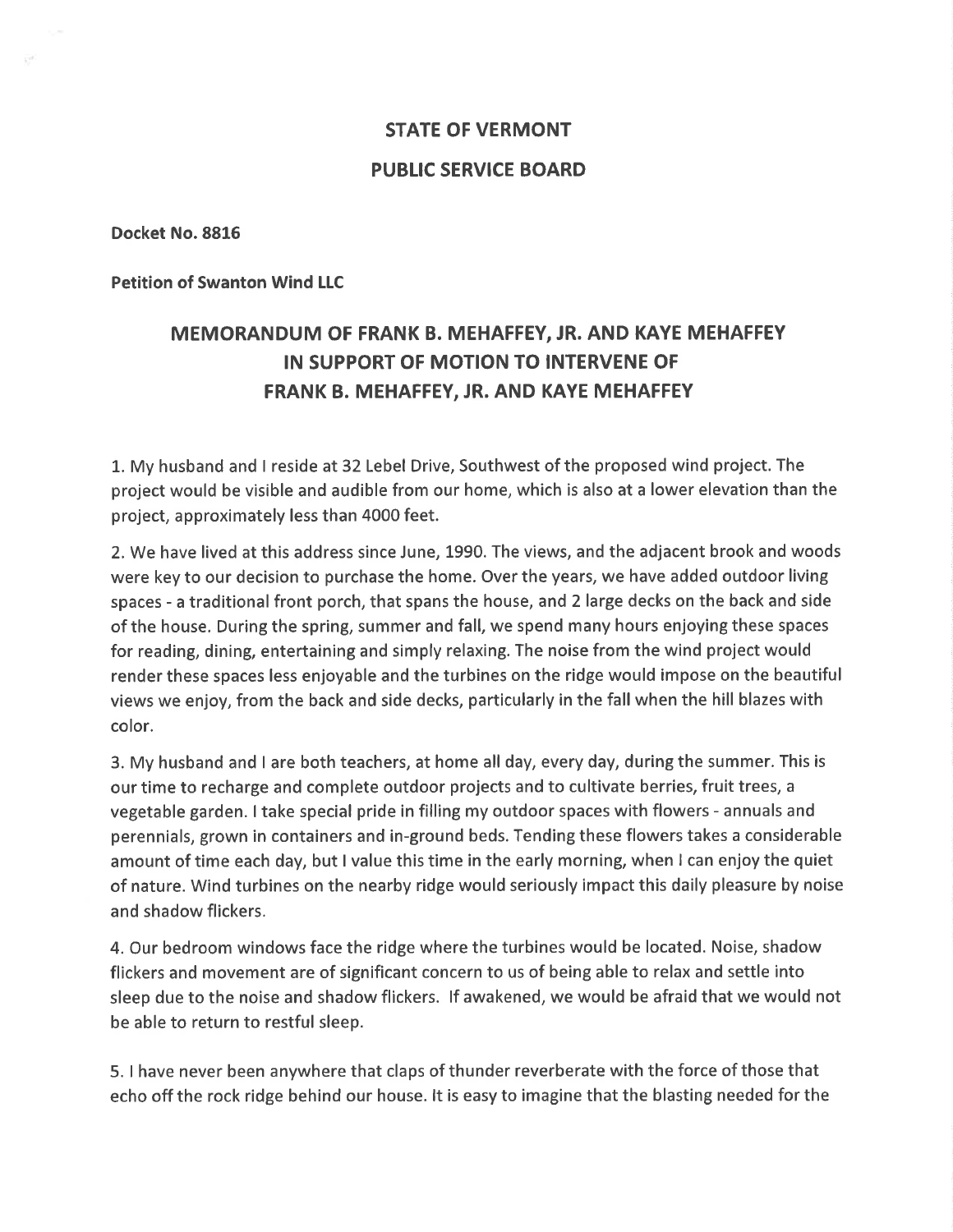# STATE OF VERMONT PUBLIC SERVICE BOARD

Docket No.8816

Petition of Swanton Wind LLC

## MEMORANDUM OF FRANK B. MEHAFFEY, JR. AND KAYE MEHAFFEY IN SUPPORT OF MOTION TO INTERVENE OF FRANK B. MEHAFFEY, JR. AND KAYE MEHAFFEY

1.My husband and I reside at 32 Lebel Drive, Southwest of the proposed wind project. The project would be visible and audible from our home, which is also at a lower elevation than the project, approximately less than 4000 feet.

2. We have lived at this address since June, L990. The views, and the adjacent brook and woods were key to our decision to purchase the home. Over the years, we have added outdoor living spaces - a traditional front porch, that spans the house, and 2 large decks on the back and side of the house. During the spring, summer and fall, we spend many hours enjoying these spaces for reading, dining, entertaining and simply relaxing. The noise from the wind project would render these spaces less enjoyable and the turbines on the ridge would impose on the beautiful views we enjoy, from the back and side decks, particularly in the fall when the hill blazes with color.

3. My husband and I are both teachers, at home all day, every day, during the summer. This is our time to recharge and complete outdoor projects and to cultivate berries, fruit trees, <sup>a</sup> vegetable garden. I take special pride in filling my outdoor spaces with flowers - annuals and perennials, grown in containers and in-ground beds. Tending these flowers takes a considerable amount of time each day, but I value this time in the early morning, when I can enjoy the quiet of nature. Wind turbines on the nearby ridge would seriously impact this daily pleasure by noise and shadow flickers.

4. Our bedroom windows face the ridge where the turbines would be located. Noise, shadow flickers and movement are of significant concern to us of being able to relax and settle into sleep due to the noise and shadow flickers. lf awakened, we would be afraid that we would not be able to return to restful sleep.

5. I have never been anywhere that claps of thunder reverberate with the force of those that echo offthe rock ridge behind our house. lt is easy to imagine that the blasting needed for the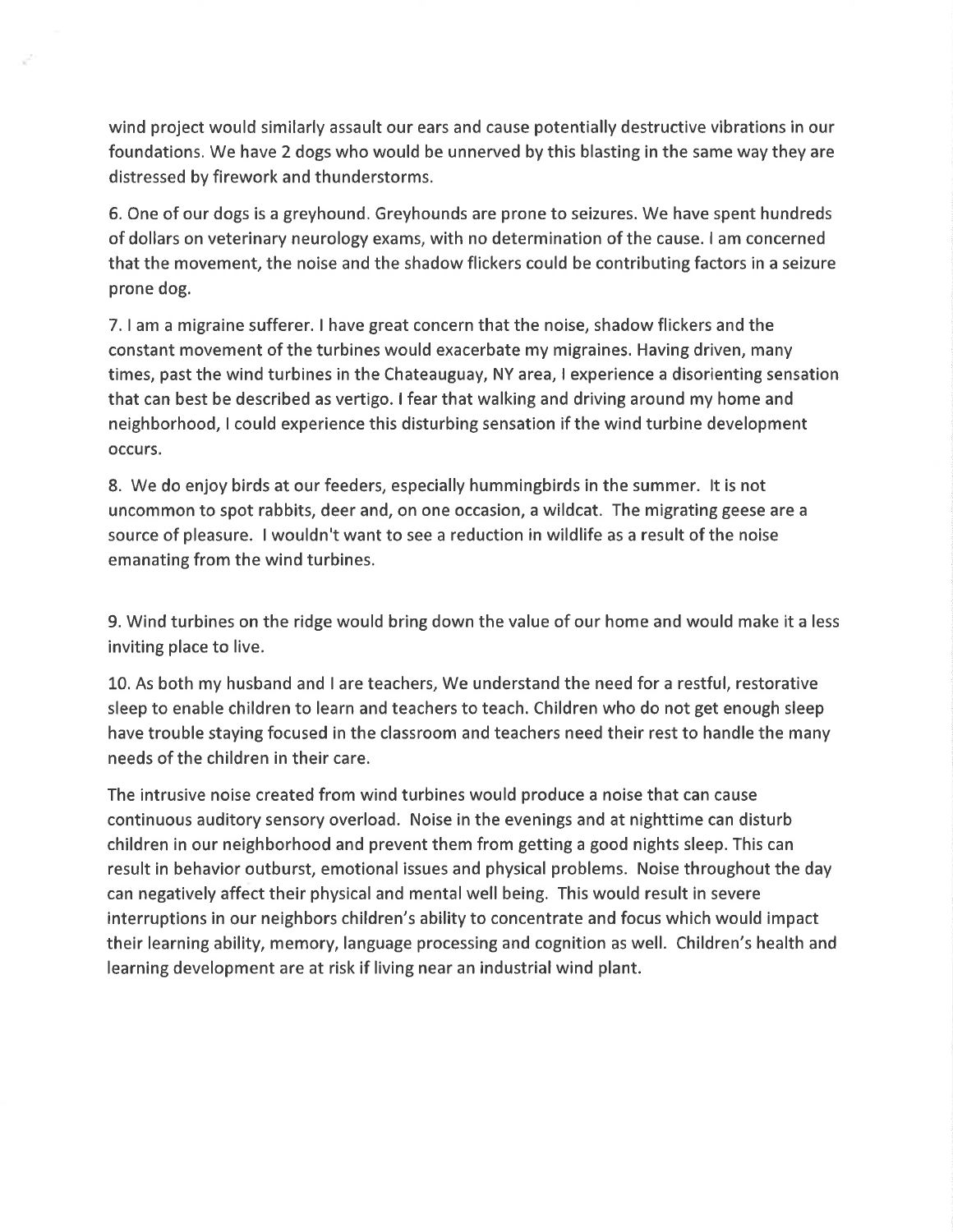wind project would similarly assault our ears and cause potentially destructive vibrations in our foundations. We have 2 dogs who would be unnerved by this blasting in the same way they are distressed by firework and thunderstorms.

6. One of our dogs is a greyhound. Greyhounds are prone to seizures. We have spent hundreds of dollars on veterinary neurology exams, with no determination of the cause. I am concerned that the movement, the noise and the shadow flickers could be contributing factors in a seizure prone dog.

7. I am a migraine sufferer. I have great concern that the noise, shadow flickers and the constant movement of the turbines would exacerbate my migraines. Having driven, many times, past the wind turbines in the Chateauguay, NY area, I experience a disorienting sensation that can best be described as vertigo. I fear that walking and driving around my home and neighborhood, I could experience this disturbing sensation if the wind turbine development occurs.

8. We do enjoy birds at our feeders, especially hummingbirds in the summer. lt is not uncommon to spot rabbits, deer and, on one occasion, a wildcat. The migrating geese are <sup>a</sup> source of pleasure. I wouldn't want to see a reduction in wildlife as a result ofthe noise emanating from the wind turbines.

9. Wind turbines on the ridge would bring down the value of our home and would make it a less inviting place to live.

L0. As both my husband and I are teachers, We understand the need for a restful, restorative sleep to enable children to learn and teachers to teach. Children who do not get enough sleep have trouble staying focused in the classroom and teachers need their rest to handle the many needs of the children in their care.

The intrusive noise created from wind turbines would produce a noise that can cause continuous auditory sensory overload. Noise in the evenings and at nighttime can disturb children in our neighborhood and prevent them from getting a good nights sleep. This can result in behavior outburst, emotional issues and physical problems. Noise throughout the day can negatively affect their physical and mental well being. This would result in severe interruptions in our neighbors children's ability to concentrate and focus which would impact their learning ability, memory, language processing and cognition as well. Children's health and learning development are at risk if living near an industrial wind plant.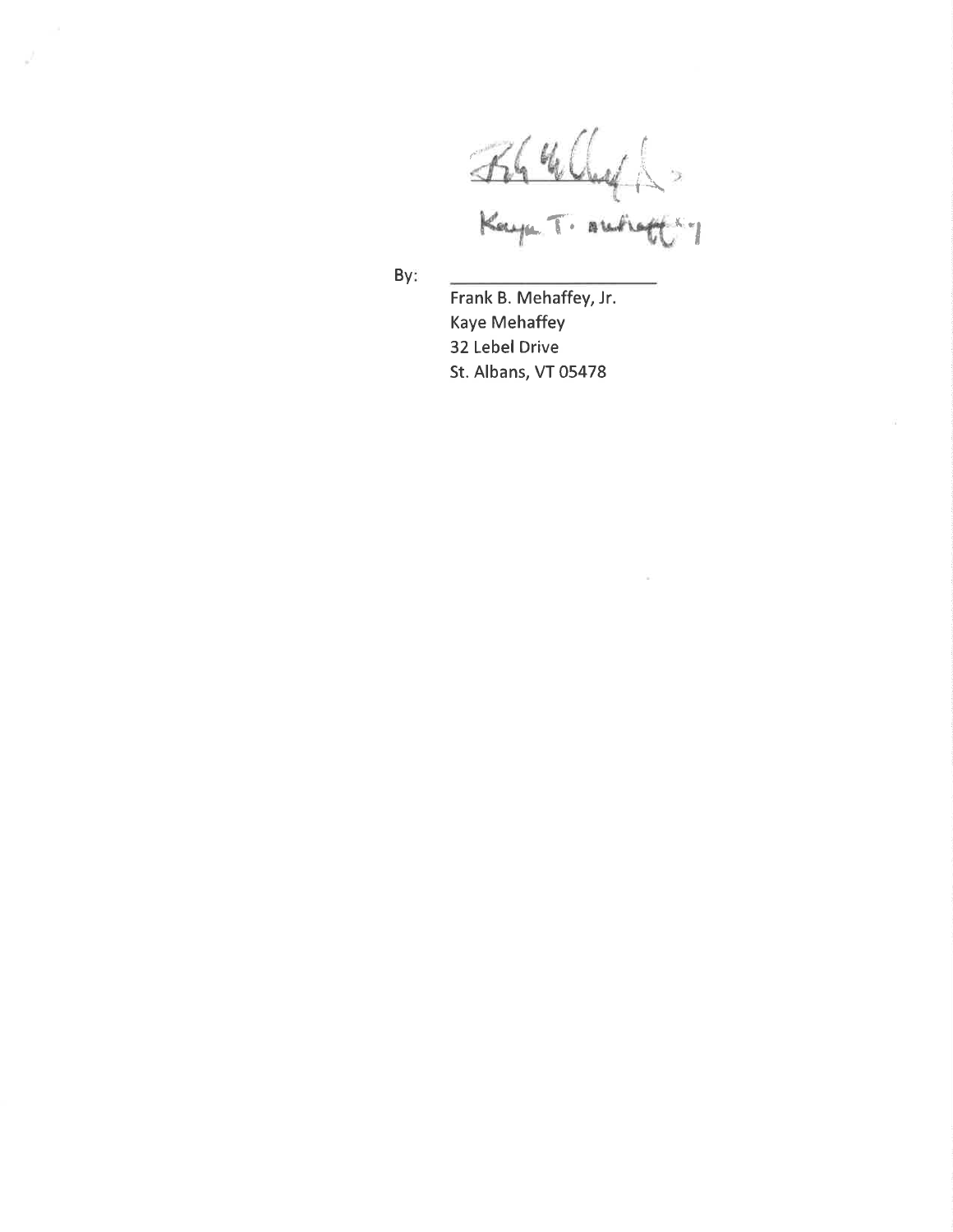Kaya T. Au  $\langle r \rangle$ 

 $\overline{\mathcal{L}}$ 

By:

Frank B. Mehaffey, Jr. Kaye Mehaffey 32 Lebel Drive St. Albans, VT 05478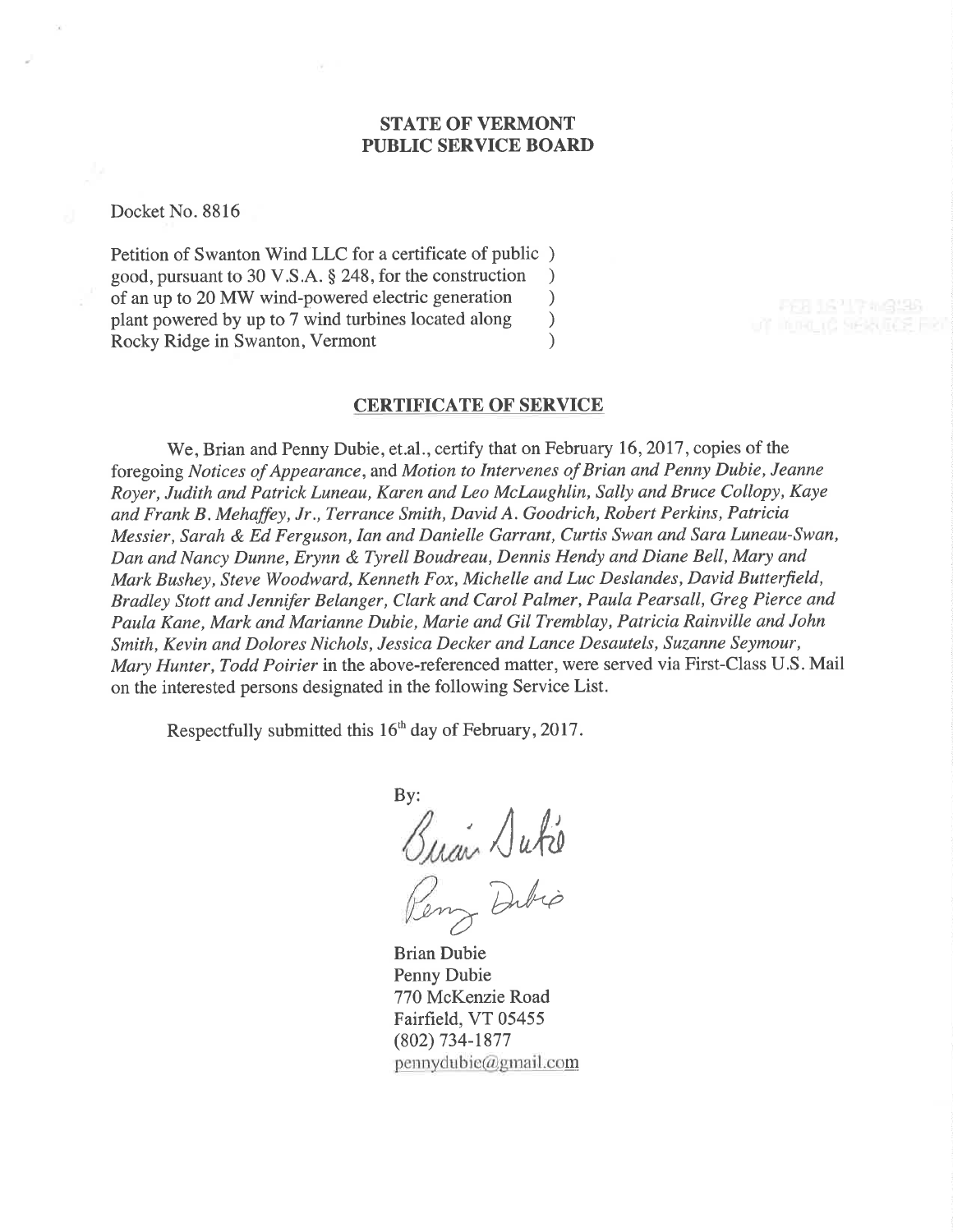### STATE OF VERMONT PUBLIC SERVICE BOARD

Docket No. 8816

Petition of Swanton Wind LLC for a certificate of public ) good, pursuant to 30 V.S.A. § 248, for the construction <br>of an up to 20 MW wind-powered electric generation  $\qquad$ of an up to 20 MW wind-powered electric generation <br>plant powered by up to 7 wind turbines located along  $)$ plant powered by up to 7 wind turbines located along <br>
Rocky Ridge in Swanton, Vermont (a) Rocky Ridge in Swanton, Vermont )

### CERTIFICATE OF SERVICE

We, Brian and Penny Dubie, et.al., certify that on February 16, 2017, copies of the foregoing Notices of Appearance, and Motion to Intervenes of Brian and Penny Dubie, Jeanne Royer, Judith and Patrick Luneau, Karen and Leo Mclaughlin, Sally and Bruce Collopy, Kaye and Frank B. Mehaffey, Jr., Terrance Smith, David A. Goodrich, Robert Perkins, Patricia Messier, Sarah & Ed Ferguson, Ian and Danielle Garrant, Curtis Swan and Sara Luneau-Swan, Dan and Nancy Dunne, Erynn & Tyrell Boudreau, Dennis Hendy and Diane Bell, Mary and Mark Bushey, Steve Woodward, Kenneth Fox, Michelle and Luc Deslandes, David Butterfield, Bradley Stott and Jenniþr Belanger, Clark and Carol Palmer, Paula Pearsall, Greg Pierce and Paula Kane, Mark and Marianne Dubie, Marie and Gil Tremblay, Patricia Rainville and John Smith, Kevin and Dolores Nichols, Jessica Decker and Lance Desautels, Suzanne Seymour, Mary Hunter, Todd Poirier in the above-referenced matter, were served via First-Class U.S. Mail on the interested persons designated in the following Service List.

Respectfully submitted this  $16<sup>th</sup>$  day of February, 2017.

By:  $\sqrt{abc}$ enz Dubio

Brian Dubie Penny Dubie 770 McKenzie Road Fairfield, VT 05455 (802) 734-1877  $p$ ennydubie@gmail.com